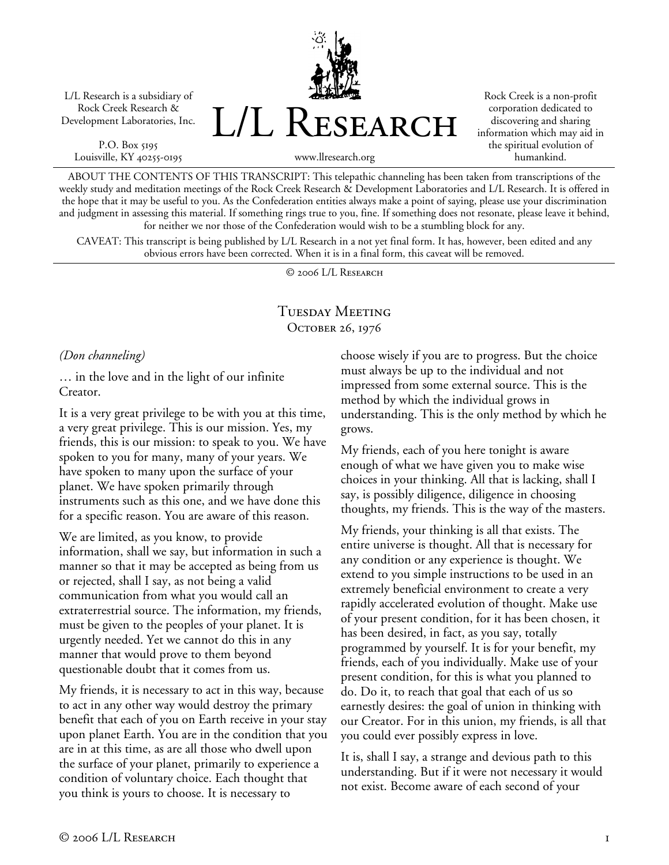L/L Research is a subsidiary of Rock Creek Research & Development Laboratories, Inc.

P.O. Box 5195 Louisville, KY 40255-0195 L/L Research

Rock Creek is a non-profit corporation dedicated to discovering and sharing information which may aid in the spiritual evolution of humankind.

www.llresearch.org

ABOUT THE CONTENTS OF THIS TRANSCRIPT: This telepathic channeling has been taken from transcriptions of the weekly study and meditation meetings of the Rock Creek Research & Development Laboratories and L/L Research. It is offered in the hope that it may be useful to you. As the Confederation entities always make a point of saying, please use your discrimination and judgment in assessing this material. If something rings true to you, fine. If something does not resonate, please leave it behind, for neither we nor those of the Confederation would wish to be a stumbling block for any.

CAVEAT: This transcript is being published by L/L Research in a not yet final form. It has, however, been edited and any obvious errors have been corrected. When it is in a final form, this caveat will be removed.

© 2006 L/L Research

# Tuesday Meeting OCTOBER 26, 1976

*(Don channeling)* 

… in the love and in the light of our infinite Creator.

It is a very great privilege to be with you at this time, a very great privilege. This is our mission. Yes, my friends, this is our mission: to speak to you. We have spoken to you for many, many of your years. We have spoken to many upon the surface of your planet. We have spoken primarily through instruments such as this one, and we have done this for a specific reason. You are aware of this reason.

We are limited, as you know, to provide information, shall we say, but information in such a manner so that it may be accepted as being from us or rejected, shall I say, as not being a valid communication from what you would call an extraterrestrial source. The information, my friends, must be given to the peoples of your planet. It is urgently needed. Yet we cannot do this in any manner that would prove to them beyond questionable doubt that it comes from us.

My friends, it is necessary to act in this way, because to act in any other way would destroy the primary benefit that each of you on Earth receive in your stay upon planet Earth. You are in the condition that you are in at this time, as are all those who dwell upon the surface of your planet, primarily to experience a condition of voluntary choice. Each thought that you think is yours to choose. It is necessary to

choose wisely if you are to progress. But the choice must always be up to the individual and not impressed from some external source. This is the method by which the individual grows in understanding. This is the only method by which he grows.

My friends, each of you here tonight is aware enough of what we have given you to make wise choices in your thinking. All that is lacking, shall I say, is possibly diligence, diligence in choosing thoughts, my friends. This is the way of the masters.

My friends, your thinking is all that exists. The entire universe is thought. All that is necessary for any condition or any experience is thought. We extend to you simple instructions to be used in an extremely beneficial environment to create a very rapidly accelerated evolution of thought. Make use of your present condition, for it has been chosen, it has been desired, in fact, as you say, totally programmed by yourself. It is for your benefit, my friends, each of you individually. Make use of your present condition, for this is what you planned to do. Do it, to reach that goal that each of us so earnestly desires: the goal of union in thinking with our Creator. For in this union, my friends, is all that you could ever possibly express in love.

It is, shall I say, a strange and devious path to this understanding. But if it were not necessary it would not exist. Become aware of each second of your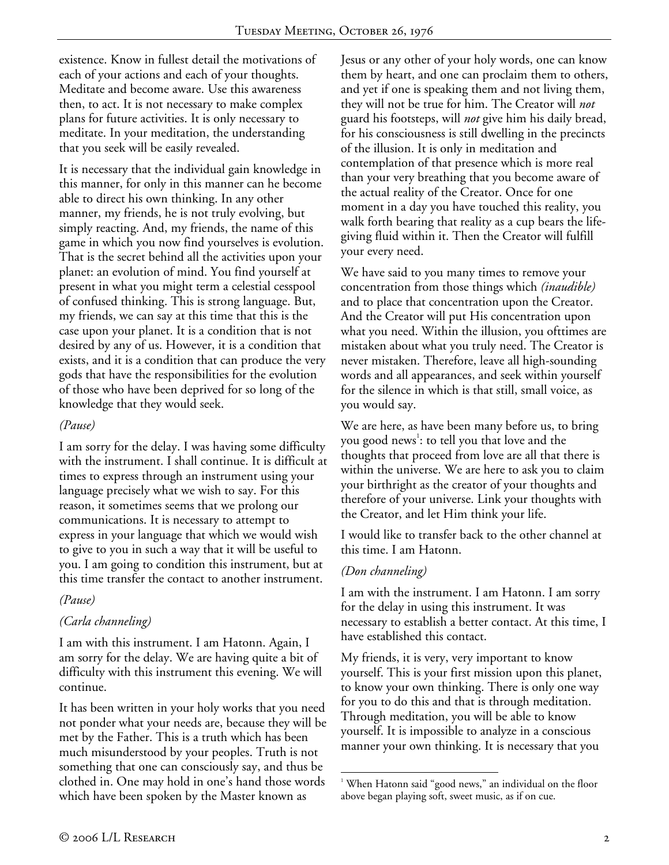existence. Know in fullest detail the motivations of each of your actions and each of your thoughts. Meditate and become aware. Use this awareness then, to act. It is not necessary to make complex plans for future activities. It is only necessary to meditate. In your meditation, the understanding that you seek will be easily revealed.

It is necessary that the individual gain knowledge in this manner, for only in this manner can he become able to direct his own thinking. In any other manner, my friends, he is not truly evolving, but simply reacting. And, my friends, the name of this game in which you now find yourselves is evolution. That is the secret behind all the activities upon your planet: an evolution of mind. You find yourself at present in what you might term a celestial cesspool of confused thinking. This is strong language. But, my friends, we can say at this time that this is the case upon your planet. It is a condition that is not desired by any of us. However, it is a condition that exists, and it is a condition that can produce the very gods that have the responsibilities for the evolution of those who have been deprived for so long of the knowledge that they would seek.

#### *(Pause)*

I am sorry for the delay. I was having some difficulty with the instrument. I shall continue. It is difficult at times to express through an instrument using your language precisely what we wish to say. For this reason, it sometimes seems that we prolong our communications. It is necessary to attempt to express in your language that which we would wish to give to you in such a way that it will be useful to you. I am going to condition this instrument, but at this time transfer the contact to another instrument.

## *(Pause)*

## *(Carla channeling)*

I am with this instrument. I am Hatonn. Again, I am sorry for the delay. We are having quite a bit of difficulty with this instrument this evening. We will continue.

It has been written in your holy works that you need not ponder what your needs are, because they will be met by the Father. This is a truth which has been much misunderstood by your peoples. Truth is not something that one can consciously say, and thus be clothed in. One may hold in one's hand those words which have been spoken by the Master known as

Jesus or any other of your holy words, one can know them by heart, and one can proclaim them to others, and yet if one is speaking them and not living them, they will not be true for him. The Creator will *not* guard his footsteps, will *not* give him his daily bread, for his consciousness is still dwelling in the precincts of the illusion. It is only in meditation and contemplation of that presence which is more real than your very breathing that you become aware of the actual reality of the Creator. Once for one moment in a day you have touched this reality, you walk forth bearing that reality as a cup bears the lifegiving fluid within it. Then the Creator will fulfill your every need.

We have said to you many times to remove your concentration from those things which *(inaudible)*  and to place that concentration upon the Creator. And the Creator will put His concentration upon what you need. Within the illusion, you ofttimes are mistaken about what you truly need. The Creator is never mistaken. Therefore, leave all high-sounding words and all appearances, and seek within yourself for the silence in which is that still, small voice, as you would say.

We are here, as have been many before us, to bring you good news<sup>1</sup>: to tell you that love and the thoughts that proceed from love are all that there is within the universe. We are here to ask you to claim your birthright as the creator of your thoughts and therefore of your universe. Link your thoughts with the Creator, and let Him think your life.

I would like to transfer back to the other channel at this time. I am Hatonn.

## *(Don channeling)*

I am with the instrument. I am Hatonn. I am sorry for the delay in using this instrument. It was necessary to establish a better contact. At this time, I have established this contact.

My friends, it is very, very important to know yourself. This is your first mission upon this planet, to know your own thinking. There is only one way for you to do this and that is through meditation. Through meditation, you will be able to know yourself. It is impossible to analyze in a conscious manner your own thinking. It is necessary that you

 $\overline{a}$ <sup>1</sup> When Hatonn said "good news," an individual on the floor above began playing soft, sweet music, as if on cue.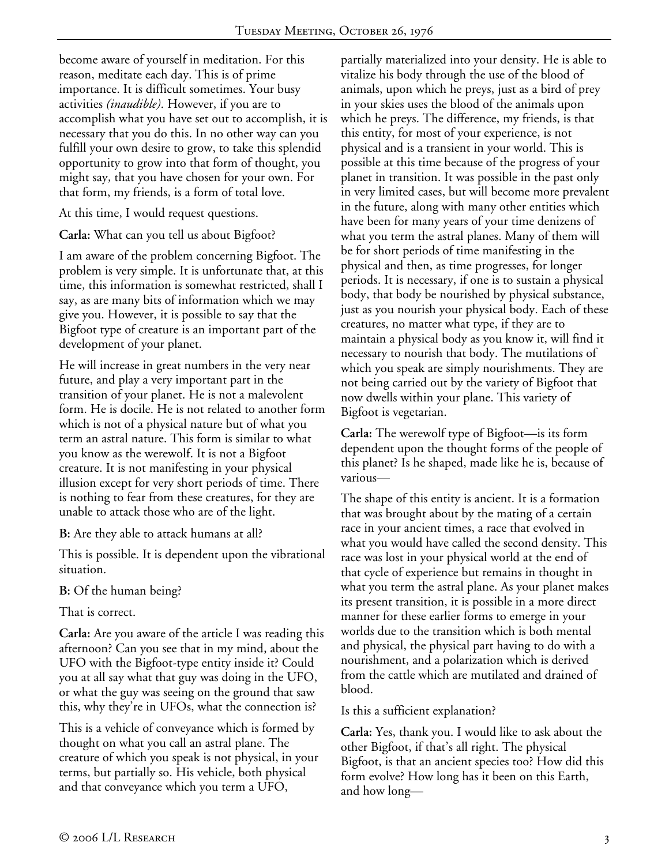become aware of yourself in meditation. For this reason, meditate each day. This is of prime importance. It is difficult sometimes. Your busy activities *(inaudible)*. However, if you are to accomplish what you have set out to accomplish, it is necessary that you do this. In no other way can you fulfill your own desire to grow, to take this splendid opportunity to grow into that form of thought, you might say, that you have chosen for your own. For that form, my friends, is a form of total love.

At this time, I would request questions.

**Carla:** What can you tell us about Bigfoot?

I am aware of the problem concerning Bigfoot. The problem is very simple. It is unfortunate that, at this time, this information is somewhat restricted, shall I say, as are many bits of information which we may give you. However, it is possible to say that the Bigfoot type of creature is an important part of the development of your planet.

He will increase in great numbers in the very near future, and play a very important part in the transition of your planet. He is not a malevolent form. He is docile. He is not related to another form which is not of a physical nature but of what you term an astral nature. This form is similar to what you know as the werewolf. It is not a Bigfoot creature. It is not manifesting in your physical illusion except for very short periods of time. There is nothing to fear from these creatures, for they are unable to attack those who are of the light.

**B:** Are they able to attack humans at all?

This is possible. It is dependent upon the vibrational situation.

**B:** Of the human being?

That is correct.

**Carla:** Are you aware of the article I was reading this afternoon? Can you see that in my mind, about the UFO with the Bigfoot-type entity inside it? Could you at all say what that guy was doing in the UFO, or what the guy was seeing on the ground that saw this, why they're in UFOs, what the connection is?

This is a vehicle of conveyance which is formed by thought on what you call an astral plane. The creature of which you speak is not physical, in your terms, but partially so. His vehicle, both physical and that conveyance which you term a UFO,

partially materialized into your density. He is able to vitalize his body through the use of the blood of animals, upon which he preys, just as a bird of prey in your skies uses the blood of the animals upon which he preys. The difference, my friends, is that this entity, for most of your experience, is not physical and is a transient in your world. This is possible at this time because of the progress of your planet in transition. It was possible in the past only in very limited cases, but will become more prevalent in the future, along with many other entities which have been for many years of your time denizens of what you term the astral planes. Many of them will be for short periods of time manifesting in the physical and then, as time progresses, for longer periods. It is necessary, if one is to sustain a physical body, that body be nourished by physical substance, just as you nourish your physical body. Each of these creatures, no matter what type, if they are to maintain a physical body as you know it, will find it necessary to nourish that body. The mutilations of which you speak are simply nourishments. They are not being carried out by the variety of Bigfoot that now dwells within your plane. This variety of Bigfoot is vegetarian.

**Carla:** The werewolf type of Bigfoot—is its form dependent upon the thought forms of the people of this planet? Is he shaped, made like he is, because of various—

The shape of this entity is ancient. It is a formation that was brought about by the mating of a certain race in your ancient times, a race that evolved in what you would have called the second density. This race was lost in your physical world at the end of that cycle of experience but remains in thought in what you term the astral plane. As your planet makes its present transition, it is possible in a more direct manner for these earlier forms to emerge in your worlds due to the transition which is both mental and physical, the physical part having to do with a nourishment, and a polarization which is derived from the cattle which are mutilated and drained of blood.

Is this a sufficient explanation?

**Carla:** Yes, thank you. I would like to ask about the other Bigfoot, if that's all right. The physical Bigfoot, is that an ancient species too? How did this form evolve? How long has it been on this Earth, and how long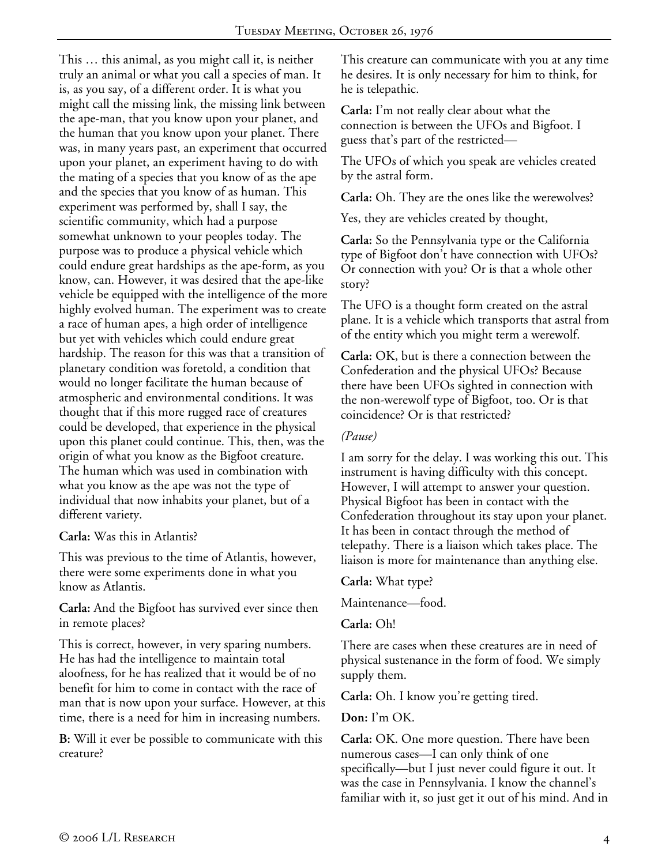This … this animal, as you might call it, is neither truly an animal or what you call a species of man. It is, as you say, of a different order. It is what you might call the missing link, the missing link between the ape-man, that you know upon your planet, and the human that you know upon your planet. There was, in many years past, an experiment that occurred upon your planet, an experiment having to do with the mating of a species that you know of as the ape and the species that you know of as human. This experiment was performed by, shall I say, the scientific community, which had a purpose somewhat unknown to your peoples today. The purpose was to produce a physical vehicle which could endure great hardships as the ape-form, as you know, can. However, it was desired that the ape-like vehicle be equipped with the intelligence of the more highly evolved human. The experiment was to create a race of human apes, a high order of intelligence but yet with vehicles which could endure great hardship. The reason for this was that a transition of planetary condition was foretold, a condition that would no longer facilitate the human because of atmospheric and environmental conditions. It was thought that if this more rugged race of creatures could be developed, that experience in the physical upon this planet could continue. This, then, was the origin of what you know as the Bigfoot creature. The human which was used in combination with what you know as the ape was not the type of individual that now inhabits your planet, but of a different variety.

#### **Carla:** Was this in Atlantis?

This was previous to the time of Atlantis, however, there were some experiments done in what you know as Atlantis.

**Carla:** And the Bigfoot has survived ever since then in remote places?

This is correct, however, in very sparing numbers. He has had the intelligence to maintain total aloofness, for he has realized that it would be of no benefit for him to come in contact with the race of man that is now upon your surface. However, at this time, there is a need for him in increasing numbers.

**B:** Will it ever be possible to communicate with this creature?

This creature can communicate with you at any time he desires. It is only necessary for him to think, for he is telepathic.

**Carla:** I'm not really clear about what the connection is between the UFOs and Bigfoot. I guess that's part of the restricted—

The UFOs of which you speak are vehicles created by the astral form.

**Carla:** Oh. They are the ones like the werewolves?

Yes, they are vehicles created by thought,

**Carla:** So the Pennsylvania type or the California type of Bigfoot don't have connection with UFOs? Or connection with you? Or is that a whole other story?

The UFO is a thought form created on the astral plane. It is a vehicle which transports that astral from of the entity which you might term a werewolf.

**Carla:** OK, but is there a connection between the Confederation and the physical UFOs? Because there have been UFOs sighted in connection with the non-werewolf type of Bigfoot, too. Or is that coincidence? Or is that restricted?

#### *(Pause)*

I am sorry for the delay. I was working this out. This instrument is having difficulty with this concept. However, I will attempt to answer your question. Physical Bigfoot has been in contact with the Confederation throughout its stay upon your planet. It has been in contact through the method of telepathy. There is a liaison which takes place. The liaison is more for maintenance than anything else.

**Carla:** What type?

Maintenance—food.

**Carla:** Oh!

There are cases when these creatures are in need of physical sustenance in the form of food. We simply supply them.

**Carla:** Oh. I know you're getting tired.

**Don:** I'm OK.

**Carla:** OK. One more question. There have been numerous cases—I can only think of one specifically—but I just never could figure it out. It was the case in Pennsylvania. I know the channel's familiar with it, so just get it out of his mind. And in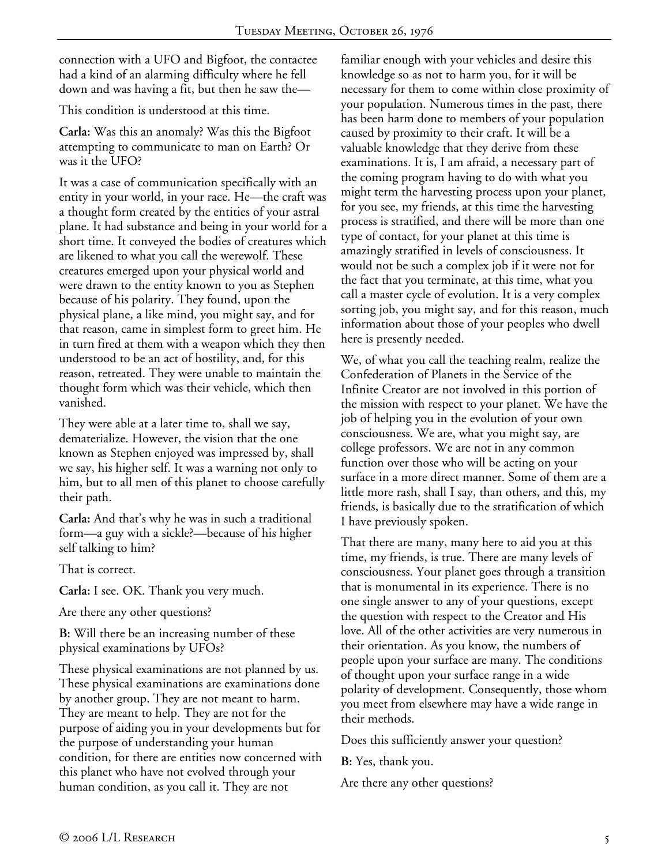connection with a UFO and Bigfoot, the contactee had a kind of an alarming difficulty where he fell down and was having a fit, but then he saw the—

This condition is understood at this time.

**Carla:** Was this an anomaly? Was this the Bigfoot attempting to communicate to man on Earth? Or was it the UFO?

It was a case of communication specifically with an entity in your world, in your race. He—the craft was a thought form created by the entities of your astral plane. It had substance and being in your world for a short time. It conveyed the bodies of creatures which are likened to what you call the werewolf. These creatures emerged upon your physical world and were drawn to the entity known to you as Stephen because of his polarity. They found, upon the physical plane, a like mind, you might say, and for that reason, came in simplest form to greet him. He in turn fired at them with a weapon which they then understood to be an act of hostility, and, for this reason, retreated. They were unable to maintain the thought form which was their vehicle, which then vanished.

They were able at a later time to, shall we say, dematerialize. However, the vision that the one known as Stephen enjoyed was impressed by, shall we say, his higher self. It was a warning not only to him, but to all men of this planet to choose carefully their path.

**Carla:** And that's why he was in such a traditional form—a guy with a sickle?—because of his higher self talking to him?

That is correct.

**Carla:** I see. OK. Thank you very much.

Are there any other questions?

**B:** Will there be an increasing number of these physical examinations by UFOs?

These physical examinations are not planned by us. These physical examinations are examinations done by another group. They are not meant to harm. They are meant to help. They are not for the purpose of aiding you in your developments but for the purpose of understanding your human condition, for there are entities now concerned with this planet who have not evolved through your human condition, as you call it. They are not

familiar enough with your vehicles and desire this knowledge so as not to harm you, for it will be necessary for them to come within close proximity of your population. Numerous times in the past, there has been harm done to members of your population caused by proximity to their craft. It will be a valuable knowledge that they derive from these examinations. It is, I am afraid, a necessary part of the coming program having to do with what you might term the harvesting process upon your planet, for you see, my friends, at this time the harvesting process is stratified, and there will be more than one type of contact, for your planet at this time is amazingly stratified in levels of consciousness. It would not be such a complex job if it were not for the fact that you terminate, at this time, what you call a master cycle of evolution. It is a very complex sorting job, you might say, and for this reason, much information about those of your peoples who dwell here is presently needed.

We, of what you call the teaching realm, realize the Confederation of Planets in the Service of the Infinite Creator are not involved in this portion of the mission with respect to your planet. We have the job of helping you in the evolution of your own consciousness. We are, what you might say, are college professors. We are not in any common function over those who will be acting on your surface in a more direct manner. Some of them are a little more rash, shall I say, than others, and this, my friends, is basically due to the stratification of which I have previously spoken.

That there are many, many here to aid you at this time, my friends, is true. There are many levels of consciousness. Your planet goes through a transition that is monumental in its experience. There is no one single answer to any of your questions, except the question with respect to the Creator and His love. All of the other activities are very numerous in their orientation. As you know, the numbers of people upon your surface are many. The conditions of thought upon your surface range in a wide polarity of development. Consequently, those whom you meet from elsewhere may have a wide range in their methods.

Does this sufficiently answer your question?

**B:** Yes, thank you.

Are there any other questions?